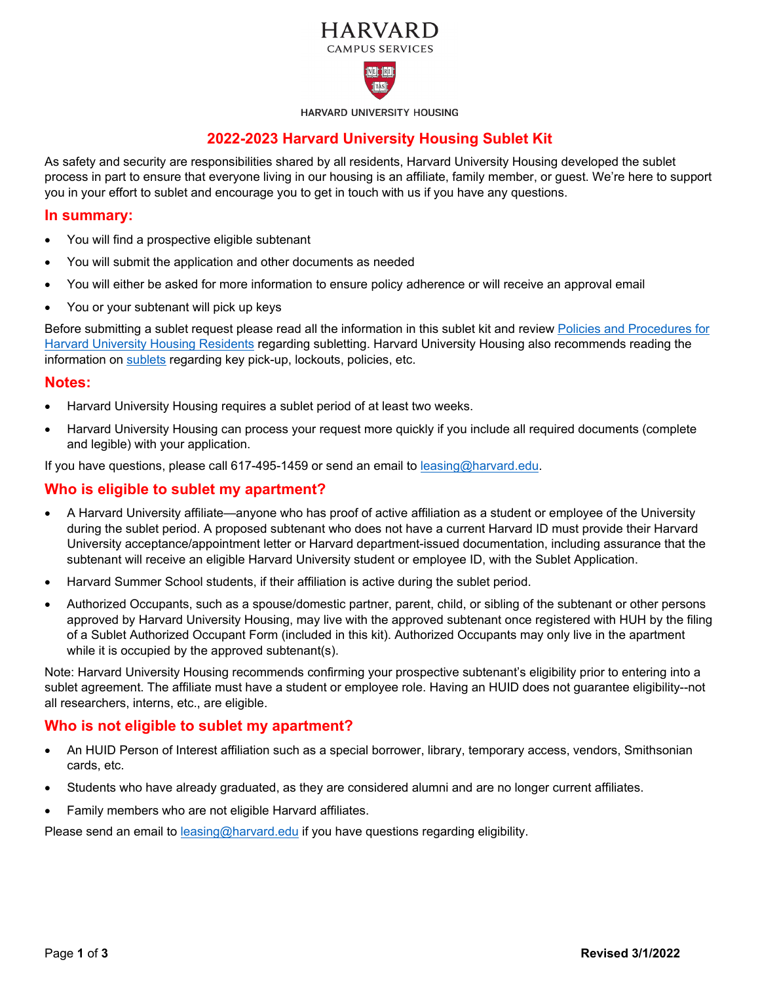# **HARVARD CAMPUS SERVICES**



HARVARD UNIVERSITY HOUSING

## **2022-2023 Harvard University Housing Sublet Kit**

As safety and security are responsibilities shared by all residents, Harvard University Housing developed the sublet process in part to ensure that everyone living in our housing is an affiliate, family member, or guest. We're here to support you in your effort to sublet and encourage you to get in touch with us if you have any questions.

### **In summary:**

- You will find a prospective eligible subtenant
- You will submit the application and other documents as needed
- You will either be asked for more information to ensure policy adherence or will receive an approval email
- You or your subtenant will pick up keys

Before submitting a sublet request please read all the information in this sublet kit and review [Policies and Procedures for](https://www.huhousing.harvard.edu/sites/huhousing.harvard.edu/files/documents/Tenant_Policy_Manual.pdf)  [Harvard University Housing Residents](https://www.huhousing.harvard.edu/sites/huhousing.harvard.edu/files/documents/Tenant_Policy_Manual.pdf) regarding subletting. Harvard University Housing also recommends reading the information on [sublets](https://www.huhousing.harvard.edu/sublets) regarding key pick-up, lockouts, policies, etc.

#### **Notes:**

- Harvard University Housing requires a sublet period of at least two weeks.
- Harvard University Housing can process your request more quickly if you include all required documents (complete and legible) with your application.

If you have questions, please call 617-495-1459 or send an email to [leasing@harvard.edu.](mailto:leasing@harvard.edu)

### **Who is eligible to sublet my apartment?**

- A Harvard University affiliate—anyone who has proof of active affiliation as a student or employee of the University during the sublet period. A proposed subtenant who does not have a current Harvard ID must provide their Harvard University acceptance/appointment letter or Harvard department-issued documentation, including assurance that the subtenant will receive an eligible Harvard University student or employee ID, with the Sublet Application.
- Harvard Summer School students, if their affiliation is active during the sublet period.
- Authorized Occupants, such as a spouse/domestic partner, parent, child, or sibling of the subtenant or other persons approved by Harvard University Housing, may live with the approved subtenant once registered with HUH by the filing of a Sublet Authorized Occupant Form (included in this kit). Authorized Occupants may only live in the apartment while it is occupied by the approved subtenant(s).

Note: Harvard University Housing recommends confirming your prospective subtenant's eligibility prior to entering into a sublet agreement. The affiliate must have a student or employee role. Having an HUID does not guarantee eligibility--not all researchers, interns, etc., are eligible.

### **Who is not eligible to sublet my apartment?**

- An HUID Person of Interest affiliation such as a special borrower, library, temporary access, vendors, Smithsonian cards, etc.
- Students who have already graduated, as they are considered alumni and are no longer current affiliates.
- Family members who are not eligible Harvard affiliates.

Please send an email to [leasing@harvard.edu](mailto:leasing@harvard.edu) if you have questions regarding eligibility.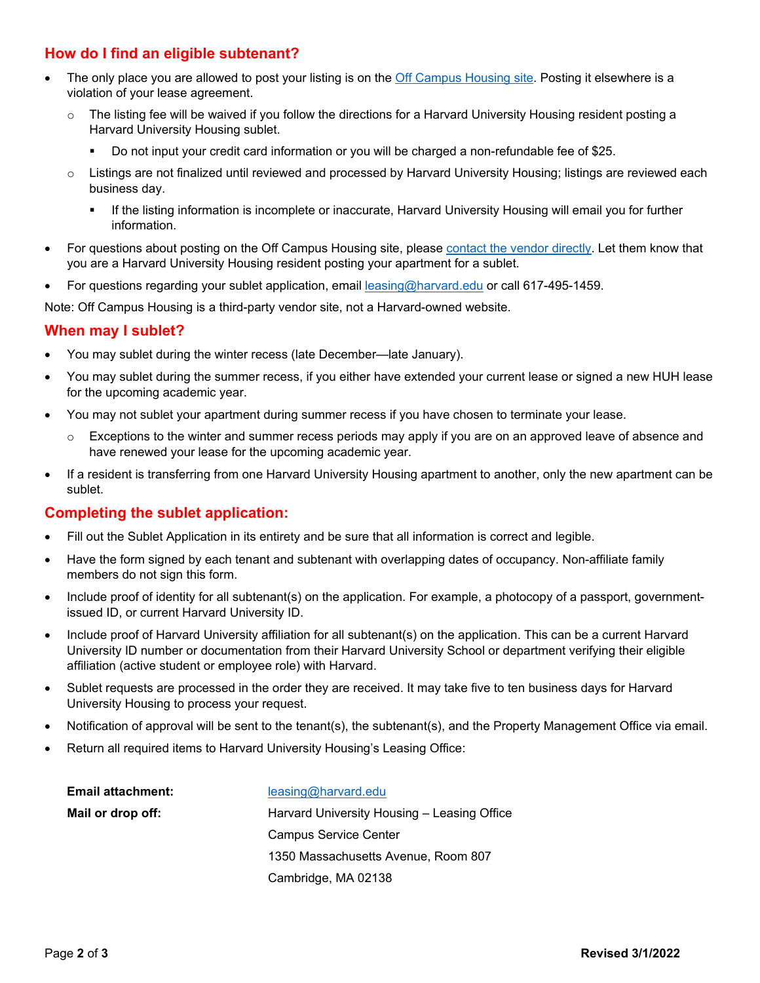# **How do I find an eligible subtenant?**

- The only place you are allowed to post your listing is on the [Off Campus Housing site.](https://www.harvardhousingoffcampus.com/) Posting it elsewhere is a violation of your lease agreement.
	- $\circ$  The listing fee will be waived if you follow the directions for a Harvard University Housing resident posting a Harvard University Housing sublet.
		- Do not input your credit card information or you will be charged a non-refundable fee of \$25.
	- o Listings are not finalized until reviewed and processed by Harvard University Housing; listings are reviewed each business day.
		- If the listing information is incomplete or inaccurate, Harvard University Housing will email you for further information.
- For questions about posting on the Off Campus Housing site, pleas[e contact the vendor directly.](https://www.harvardhousingoffcampus.com/help) Let them know that you are a Harvard University Housing resident posting your apartment for a sublet.
- For questions regarding your sublet application, email **leasing@harvard.edu** or call 617-495-1459.

Note: Off Campus Housing is a third-party vendor site, not a Harvard-owned website.

### **When may I sublet?**

- You may sublet during the winter recess (late December—late January).
- You may sublet during the summer recess, if you either have extended your current lease or signed a new HUH lease for the upcoming academic year.
- You may not sublet your apartment during summer recess if you have chosen to terminate your lease.
	- o Exceptions to the winter and summer recess periods may apply if you are on an approved leave of absence and have renewed your lease for the upcoming academic year.
- If a resident is transferring from one Harvard University Housing apartment to another, only the new apartment can be sublet.

### **Completing the sublet application:**

- Fill out the Sublet Application in its entirety and be sure that all information is correct and legible.
- Have the form signed by each tenant and subtenant with overlapping dates of occupancy. Non-affiliate family members do not sign this form.
- Include proof of identity for all subtenant(s) on the application. For example, a photocopy of a passport, governmentissued ID, or current Harvard University ID.
- Include proof of Harvard University affiliation for all subtenant(s) on the application. This can be a current Harvard University ID number or documentation from their Harvard University School or department verifying their eligible affiliation (active student or employee role) with Harvard.
- Sublet requests are processed in the order they are received. It may take five to ten business days for Harvard University Housing to process your request.
- Notification of approval will be sent to the tenant(s), the subtenant(s), and the Property Management Office via email.
- Return all required items to Harvard University Housing's Leasing Office:

| Email attachment: | leasing@haryard.edu                         |
|-------------------|---------------------------------------------|
| Mail or drop off: | Harvard University Housing – Leasing Office |
|                   | <b>Campus Service Center</b>                |
|                   | 1350 Massachusetts Avenue, Room 807         |
|                   | Cambridge, MA 02138                         |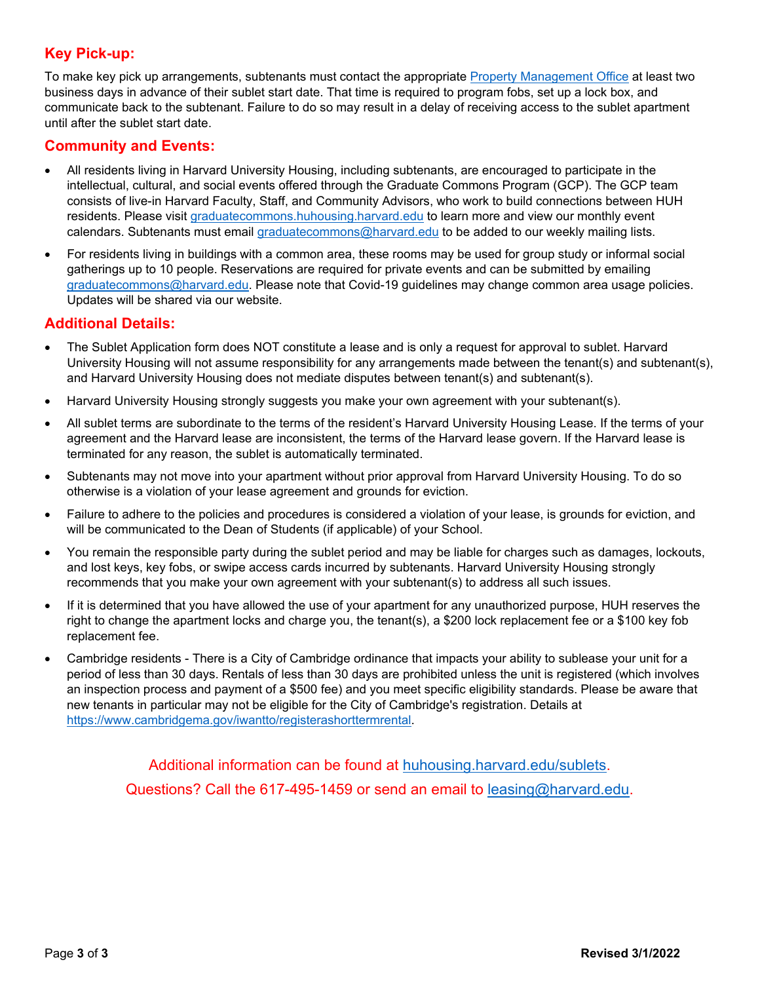# **Key Pick-up:**

To make key pick up arrangements, subtenants must contact the appropriate [Property Management Office](https://www.huhousing.harvard.edu/living-huh/leasing-property-management/property-management-offices) at least two business days in advance of their sublet start date. That time is required to program fobs, set up a lock box, and communicate back to the subtenant. Failure to do so may result in a delay of receiving access to the sublet apartment until after the sublet start date.

## **Community and Events:**

- All residents living in Harvard University Housing, including subtenants, are encouraged to participate in the intellectual, cultural, and social events offered through the Graduate Commons Program (GCP). The GCP team consists of live-in Harvard Faculty, Staff, and Community Advisors, who work to build connections between HUH residents. Please visit graduatecommons.huhousing.harvard.edu to learn more and view our monthly event calendars. Subtenants must email [graduatecommons@harvard.edu](mailto:graduatecommons@harvard.edu) to be added to our weekly mailing lists.
- For residents living in buildings with a common area, these rooms may be used for group study or informal social gatherings up to 10 people. Reservations are required for private events and can be submitted by emailing [graduatecommons@harvard.edu.](mailto:graduatecommons@harvard.edu) Please note that Covid-19 guidelines may change common area usage policies. Updates will be shared via our website.

### **Additional Details:**

- The Sublet Application form does NOT constitute a lease and is only a request for approval to sublet. Harvard University Housing will not assume responsibility for any arrangements made between the tenant(s) and subtenant(s), and Harvard University Housing does not mediate disputes between tenant(s) and subtenant(s).
- Harvard University Housing strongly suggests you make your own agreement with your subtenant(s).
- All sublet terms are subordinate to the terms of the resident's Harvard University Housing Lease. If the terms of your agreement and the Harvard lease are inconsistent, the terms of the Harvard lease govern. If the Harvard lease is terminated for any reason, the sublet is automatically terminated.
- Subtenants may not move into your apartment without prior approval from Harvard University Housing. To do so otherwise is a violation of your lease agreement and grounds for eviction.
- Failure to adhere to the policies and procedures is considered a violation of your lease, is grounds for eviction, and will be communicated to the Dean of Students (if applicable) of your School.
- You remain the responsible party during the sublet period and may be liable for charges such as damages, lockouts, and lost keys, key fobs, or swipe access cards incurred by subtenants. Harvard University Housing strongly recommends that you make your own agreement with your subtenant(s) to address all such issues.
- If it is determined that you have allowed the use of your apartment for any unauthorized purpose, HUH reserves the right to change the apartment locks and charge you, the tenant(s), a \$200 lock replacement fee or a \$100 key fob replacement fee.
- Cambridge residents There is a City of Cambridge ordinance that impacts your ability to sublease your unit for a period of less than 30 days. Rentals of less than 30 days are prohibited unless the unit is registered (which involves an inspection process and payment of a \$500 fee) and you meet specific eligibility standards. Please be aware that new tenants in particular may not be eligible for the City of Cambridge's registration. Details at [https://www.cambridgema.gov/iwantto/registerashorttermrental.](https://www.cambridgema.gov/iwantto/registerashorttermrental)

Additional information can be found at huhousing.harvard.edu/sublets. Questions? Call the 617-495-1459 or send an email to [leasing@harvard.edu.](mailto:leasing@harvard.edu)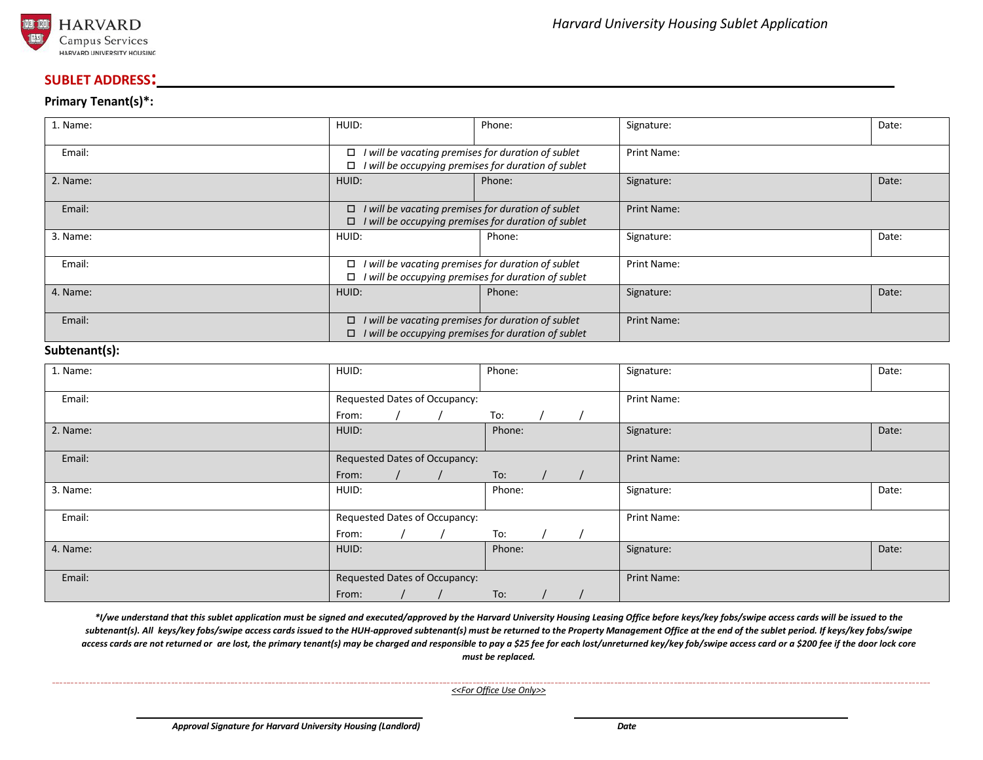

#### **SUBLET ADDRESS:**

#### **Primary Tenant(s)\*:**

| 1. Name:                       | HUID:                                                                                                                         | Phone: | Signature:         | Date: |
|--------------------------------|-------------------------------------------------------------------------------------------------------------------------------|--------|--------------------|-------|
| Email:                         | I will be vacating premises for duration of sublet<br>$\Box$<br>I will be occupying premises for duration of sublet<br>□      |        | <b>Print Name:</b> |       |
| 2. Name:                       | HUID:                                                                                                                         | Phone: | Signature:         | Date: |
| Email:                         | I will be vacating premises for duration of sublet<br>$\Box$<br>I will be occupying premises for duration of sublet<br>$\Box$ |        | <b>Print Name:</b> |       |
| 3. Name:                       | HUID:                                                                                                                         | Phone: | Signature:         | Date: |
| Email:                         | $\Box$<br>I will be vacating premises for duration of sublet<br>I will be occupying premises for duration of sublet<br>$\Box$ |        | <b>Print Name:</b> |       |
| 4. Name:                       | HUID:                                                                                                                         | Phone: | Signature:         | Date: |
| Email:<br>$\sim$ $\sim$ $\sim$ | I will be vacating premises for duration of sublet<br>$\Box$<br>I will be occupying premises for duration of sublet<br>$\Box$ |        | <b>Print Name:</b> |       |

#### **Subtenant(s):**

| 1. Name: | HUID:                         |                               | Phone: |             | Signature:         | Date: |
|----------|-------------------------------|-------------------------------|--------|-------------|--------------------|-------|
| Email:   |                               | Requested Dates of Occupancy: |        | Print Name: |                    |       |
|          | From:                         |                               | To:    |             |                    |       |
| 2. Name: | HUID:                         |                               | Phone: |             | Signature:         | Date: |
| Email:   | Requested Dates of Occupancy: |                               |        |             | <b>Print Name:</b> |       |
|          | From:                         |                               | To:    |             |                    |       |
| 3. Name: | HUID:                         |                               | Phone: |             | Signature:         | Date: |
| Email:   | Requested Dates of Occupancy: |                               |        |             | Print Name:        |       |
|          | From:                         |                               | To:    |             |                    |       |
| 4. Name: | HUID:                         |                               | Phone: |             | Signature:         | Date: |
| Email:   | Requested Dates of Occupancy: |                               |        |             | Print Name:        |       |
|          | From:                         |                               | To:    |             |                    |       |

*\*I/we understand that this sublet application must be signed and executed/approved by the Harvard University Housing Leasing Office before keys/key fobs/swipe access cards will be issued to the*  subtenant(s). All keys/key fobs/swipe access cards issued to the HUH-approved subtenant(s) must be returned to the Property Management Office at the end of the sublet period. If keys/key fobs/swipe access cards are not returned or are lost, the primary tenant(s) may be charged and responsible to pay a \$25 fee for each lost/unreturned key/key fob/swipe access card or a \$200 fee if the door lock core *must be replaced.*

*<<For Office Use Only>>*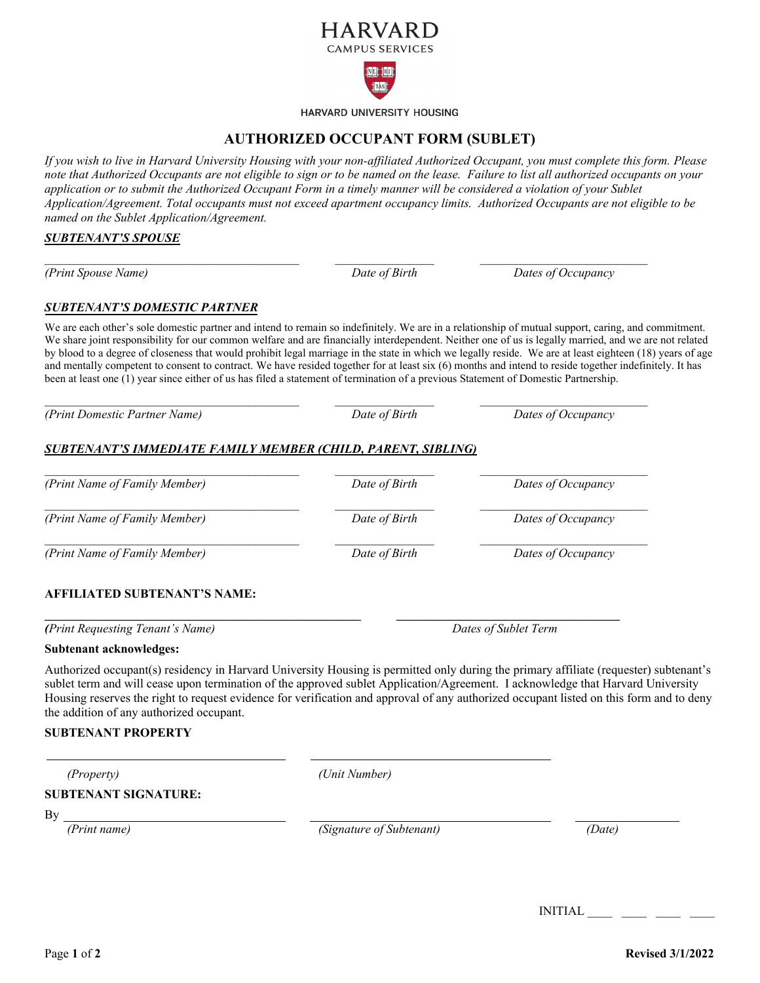

HARVARD UNIVERSITY HOUSING

## **AUTHORIZED OCCUPANT FORM (SUBLET)**

*If you wish to live in Harvard University Housing with your non-affiliated Authorized Occupant, you must complete this form. Please note that Authorized Occupants are not eligible to sign or to be named on the lease. Failure to list all authorized occupants on your application or to submit the Authorized Occupant Form in a timely manner will be considered a violation of your Sublet Application/Agreement. Total occupants must not exceed apartment occupancy limits. Authorized Occupants are not eligible to be named on the Sublet Application/Agreement.*

#### *SUBTENANT'S SPOUSE*

*(Print Spouse Name)* 

*SUBTENANT'S DOMESTIC PARTNER*

*\_\_\_\_\_\_\_\_\_\_\_\_\_\_\_\_\_\_\_\_\_\_\_\_\_\_\_\_\_\_\_\_\_\_\_\_\_\_\_\_\_*

We are each other's sole domestic partner and intend to remain so indefinitely. We are in a relationship of mutual support, caring, and commitment. We share joint responsibility for our common welfare and are financially interdependent. Neither one of us is legally married, and we are not related by blood to a degree of closeness that would prohibit legal marriage in the state in which we legally reside. We are at least eighteen (18) years of age and mentally competent to consent to contract. We have resided together for at least six (6) months and intend to reside together indefinitely. It has been at least one (1) year since either of us has filed a statement of termination of a previous Statement of Domestic Partnership.

*(Print Domestic Partner Name) Date of Birth Dates of Occupancy*

### *SUBTENANT'S IMMEDIATE FAMILY MEMBER (CHILD, PARENT, SIBLING)*

*\_\_\_\_\_\_\_\_\_\_\_\_\_\_\_\_\_\_\_\_\_\_\_\_\_\_\_\_\_\_\_\_\_\_\_\_\_\_\_\_\_ \_\_\_\_\_\_\_\_\_\_\_\_\_\_\_\_ \_\_\_\_\_\_\_\_\_\_\_\_\_\_\_\_\_\_\_\_\_\_\_\_\_\_\_ (Print Name of Family Member) Date of Birth Dates of Occupancy \_\_\_\_\_\_\_\_\_\_\_\_\_\_\_\_\_\_\_\_\_\_\_\_\_\_\_\_\_\_\_\_\_\_\_\_\_\_\_\_\_ \_\_\_\_\_\_\_\_\_\_\_\_\_\_\_\_ \_\_\_\_\_\_\_\_\_\_\_\_\_\_\_\_\_\_\_\_\_\_\_\_\_\_\_ (Print Name of Family Member) Date of Birth Dates of Occupancy \_\_\_\_\_\_\_\_\_\_\_\_\_\_\_\_\_\_\_\_\_\_\_\_\_\_\_\_\_\_\_\_\_\_\_\_\_\_\_\_\_ \_\_\_\_\_\_\_\_\_\_\_\_\_\_\_\_ \_\_\_\_\_\_\_\_\_\_\_\_\_\_\_\_\_\_\_\_\_\_\_\_\_\_\_ (Print Name of Family Member) Date of Birth Dates of Occupancy*

**\_\_\_\_\_\_\_\_\_\_\_\_\_\_\_\_\_\_\_\_\_\_\_\_\_\_\_\_\_\_\_\_\_\_\_\_\_\_\_\_\_\_\_\_\_\_\_\_\_\_\_ \_\_\_\_\_\_\_\_\_\_\_\_\_\_\_\_\_\_\_\_\_\_\_\_\_\_\_\_\_\_\_\_\_\_\_\_**

*\_\_\_\_\_\_\_\_\_\_\_\_\_\_\_\_\_\_\_\_\_\_\_\_\_\_\_\_\_\_\_\_\_\_\_\_\_\_\_\_\_ \_\_\_\_\_\_\_\_\_\_\_\_\_\_\_\_ \_\_\_\_\_\_\_\_\_\_\_\_\_\_\_\_\_\_\_\_\_\_\_\_\_\_\_*

#### **AFFILIATED SUBTENANT'S NAME:**

*(Print Requesting Tenant's Name) Dates of Sublet Term*

*\_\_\_\_\_\_\_\_\_\_\_\_\_\_\_\_ \_\_\_\_\_\_\_\_\_\_\_\_\_\_\_\_\_\_\_\_\_\_\_\_\_\_\_ Date of Birth Dates of Occupancy*

#### **Subtenant acknowledges:**

Authorized occupant(s) residency in Harvard University Housing is permitted only during the primary affiliate (requester) subtenant's sublet term and will cease upon termination of the approved sublet Application/Agreement. I acknowledge that Harvard University Housing reserves the right to request evidence for verification and approval of any authorized occupant listed on this form and to deny the addition of any authorized occupant.

#### **SUBTENANT PROPERTY**

 *(Property) (Unit Number)* 

### **SUBTENANT SIGNATURE:**

By

*(Print name) (Signature of Subtenant) (Date)*

INITIAL \_\_\_\_ \_\_\_\_ \_\_\_\_ \_\_\_\_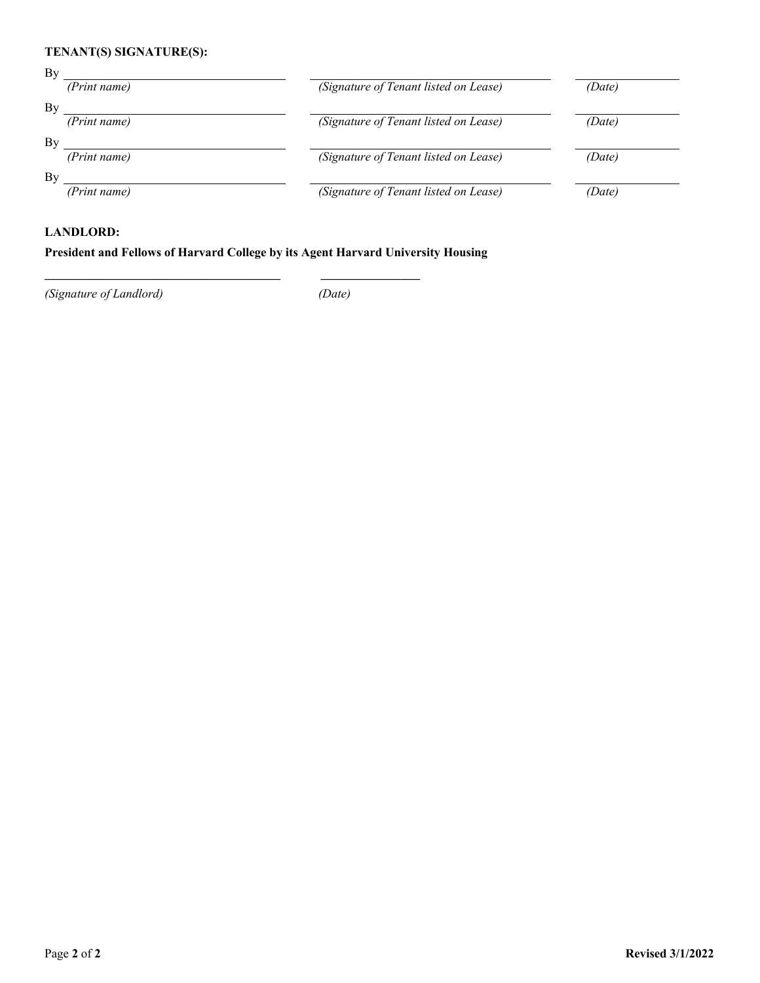## **TENANT(S) SIGNATURE(S):**

| By |              |                                       |        |
|----|--------------|---------------------------------------|--------|
|    | (Print name) | (Signature of Tenant listed on Lease) | (Date) |
| By |              |                                       |        |
|    | (Print name) | (Signature of Tenant listed on Lease) | (Date) |
| By |              |                                       |        |
|    | (Print name) | (Signature of Tenant listed on Lease) | (Date) |
| By |              |                                       |        |
|    | (Print name) | (Signature of Tenant listed on Lease) | (Date) |
|    |              |                                       |        |

#### **LANDLORD:**

### **President and Fellows of Harvard College by its Agent Harvard University Housing**

**\_\_\_\_\_\_\_\_\_\_\_\_\_\_\_\_\_\_\_\_\_\_\_\_\_\_\_\_\_\_\_\_\_\_\_\_\_\_ \_\_\_\_\_\_\_\_\_\_\_\_\_\_\_\_**

*(Signature of Landlord) (Date)*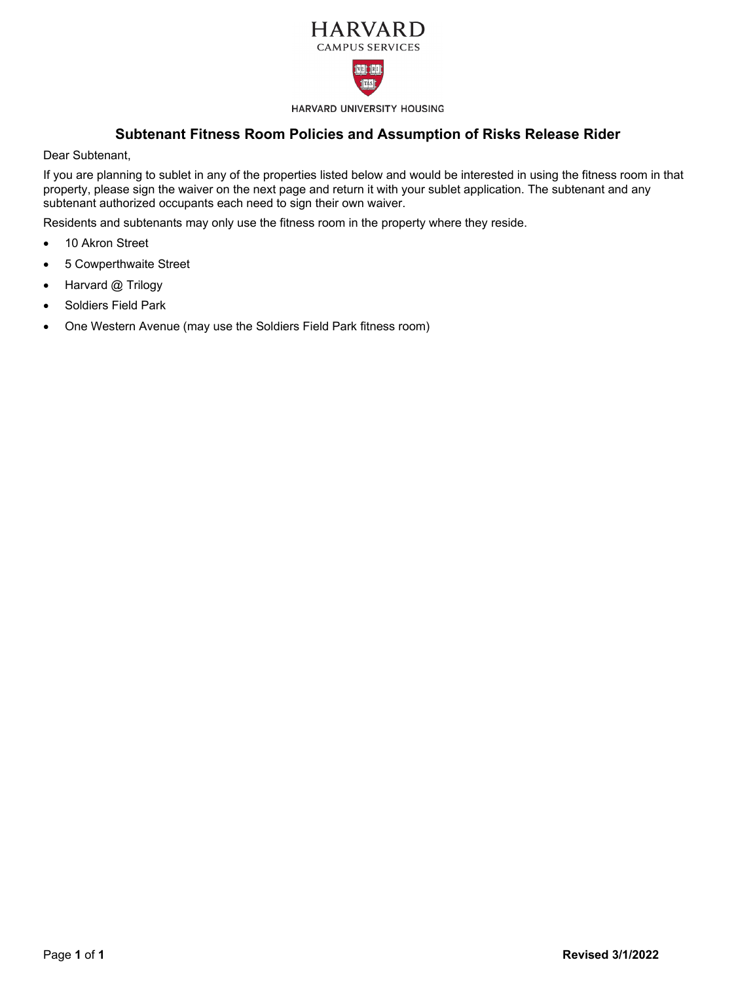



HARVARD UNIVERSITY HOUSING

## **Subtenant Fitness Room Policies and Assumption of Risks Release Rider**

Dear Subtenant,

If you are planning to sublet in any of the properties listed below and would be interested in using the fitness room in that property, please sign the waiver on the next page and return it with your sublet application. The subtenant and any subtenant authorized occupants each need to sign their own waiver.

Residents and subtenants may only use the fitness room in the property where they reside.

- 10 Akron Street
- 5 Cowperthwaite Street
- Harvard @ Trilogy
- Soldiers Field Park
- One Western Avenue (may use the Soldiers Field Park fitness room)